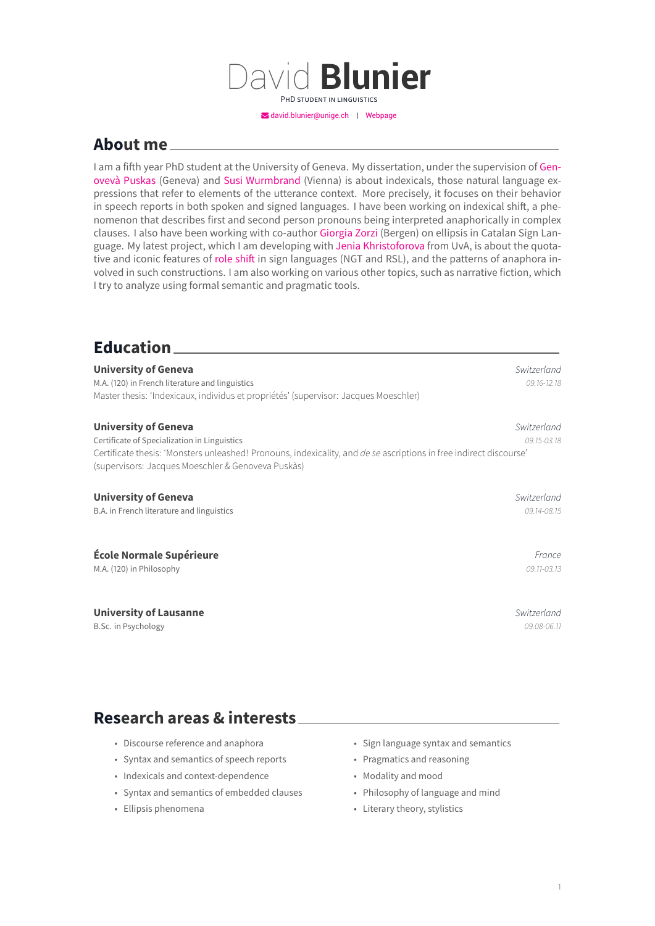

david.blunier@unige.ch | Webpage

## **About me**

I am a fifth year PhD student at the U[niversity of Geneva.](mailto:david.blunier@unige.ch) My [dissert](https://www.unige.ch/lettres/linguistique/index.php?cID=809)ation, under the supervision of Genovevà Puskas (Geneva) and Susi Wurmbrand (Vienna) is about indexicals, those natural language expressions that refer to elements of the utterance context. More precisely, it focuses on their behavior in speech reports in both spoken and signed languages. I have been working on indexical shift, a phenomenon that describes first and second person pronouns being interpreted anaphorically in co[mplex](https://www.unige.ch/lettres/angle/en/collaborateurs/linguistics/puskas/) [clauses. I also](https://www.unige.ch/lettres/angle/en/collaborateurs/linguistics/puskas/) have been w[orking with co-aut](https://homepage.univie.ac.at/susanne.wurmbrand/Susi/index.html)hor Giorgia Zorzi (Bergen) on ellipsis in Catalan Sign Language. My latest project, which I am developing with Jenia Khristoforova from UvA, is about the quotative and iconic features of role shift in sign languages (NGT and RSL), and the patterns of anaphora involved in such constructions. I am also working on various other topics, such as narrative fiction, which I try to analyze using formal semantic and pragm[atic tools.](https://giorgiazorzi.com/)

## **Education**

| <b>University of Geneva</b><br>M.A. (120) in French literature and linguistics<br>Master thesis: 'Indexicaux, individus et propriétés' (supervisor: Jacques Moeschler)                                                                                  | Switzerland<br>09.16-12.18  |
|---------------------------------------------------------------------------------------------------------------------------------------------------------------------------------------------------------------------------------------------------------|-----------------------------|
| <b>University of Geneva</b><br>Certificate of Specialization in Linguistics<br>Certificate thesis: 'Monsters unleashed! Pronouns, indexicality, and de se ascriptions in free indirect discourse'<br>(supervisors: Jacques Moeschler & Genoveva Puskàs) | Switzerland<br>09.15-03.18  |
| <b>University of Geneva</b><br>B.A. in French literature and linguistics                                                                                                                                                                                | Switzerland<br>09.14-08.15  |
| École Normale Supérieure<br>M.A. (120) in Philosophy                                                                                                                                                                                                    | France<br>$0.9.11 - 0.3.13$ |
| <b>University of Lausanne</b>                                                                                                                                                                                                                           | Switzerland                 |

B.Sc. in Psychology *09.08-06.11*

## **Research areas & interests**

- Discourse reference and anaphora
- Syntax and semantics of speech reports
- Indexicals and context-dependence
- Syntax and semantics of embedded clauses
- Ellipsis phenomena
- Sign language syntax and semantics
- Pragmatics and reasoning
- Modality and mood
- Philosophy of language and mind
- Literary theory, stylistics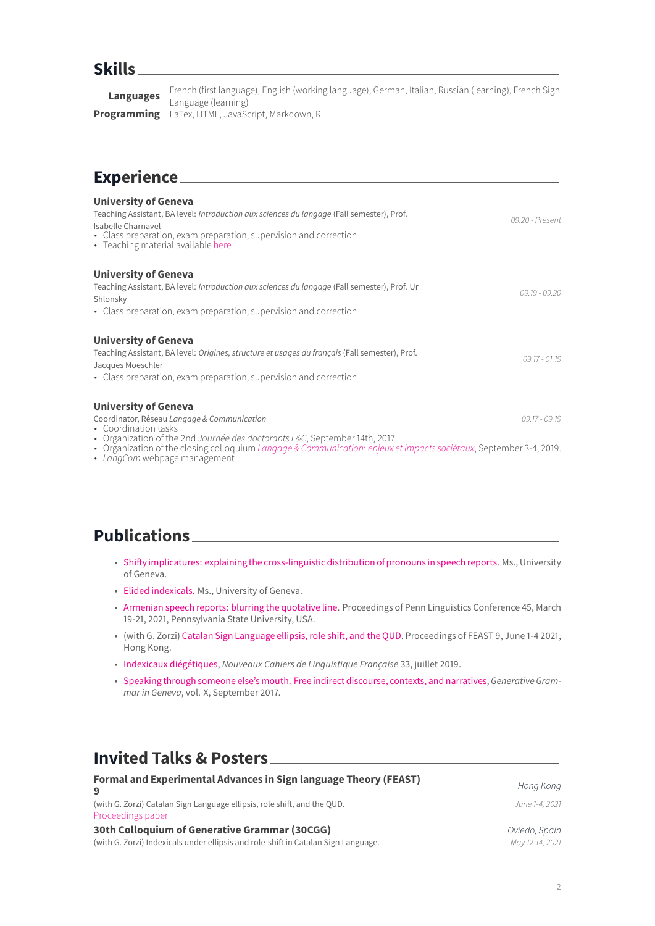## **Skills**

**Languages** French (first language), English (working language), German, Italian, Russian (learning), French Sign Language (learning) **Programming** LaTex, HTML, JavaScript, Markdown, R

## **Experience**

| University of Geneva                                                                                                |                   |
|---------------------------------------------------------------------------------------------------------------------|-------------------|
| Teaching Assistant, BA level: Introduction aux sciences du langage (Fall semester), Prof.<br>Isabelle Charnavel     | 09.20 - Present   |
| • Class preparation, exam preparation, supervision and correction<br>• Teaching material available here             |                   |
| University of Geneva                                                                                                |                   |
| Teaching Assistant, BA level: Introduction aux sciences du langage (Fall semester), Prof. Ur<br>Shlonsky            | $0.9.19 - 0.9.20$ |
| • Class preparation, exam preparation, supervision and correction                                                   |                   |
| University of Geneva                                                                                                |                   |
| Teaching Assistant, BA level: Origines, structure et usages du français (Fall semester), Prof.<br>Jacques Moeschler | $09.17 - 01.19$   |
| • Class preparation, exam preparation, supervision and correction                                                   |                   |
| <b>University of Geneva</b>                                                                                         |                   |
| Coordinator, Réseau Langage & Communication<br>• Coordination tasks                                                 | $0.9.17 - 0.9.19$ |
| • Organization of the 2nd Journée des doctorants L&C, September 14th, 2017                                          |                   |

• Organization of the closing colloquium *Langage & Communication: enjeux et impacts sociétaux*, September 3-4, 2019.

• *LangCom* webpage management

# **Publications**

- Shifty implicatures: explaining the cross-linguistic distribution of pronouns in speech reports. Ms., University of Geneva.
- Elided indexicals. Ms., University of Geneva.
- Armenian speech reports: blurring the quotative line. Proceedings of Penn Linguistics Conference 45, March [19-21, 2021, Pennsylvania State University, USA.](https://www.unige.ch/lettres/linguistique/index.php/download_file/view/1090/809/)
- (with G. Zorzi) Catalan Sign Language ellipsis, role shift, and the QUD. Proceedings of FEAST 9, June 1-4 2021, [Hong Kong.](https://ling.auf.net/lingbuzz/006310)
- Indexicaux diégétiques, *[Nouveaux Cahiers de Linguist](https://www.unige.ch/lettres/linguistique/index.php/download_file/view/1087/809/)ique Française* 33, juillet 2019.
- Speaking through someone else's mouth. Free indirect discourse, contexts, and narratives, *Generative Grammar in Geneva*[, vol. X, September 2017.](https://www.unige.ch/lettres/linguistique/index.php/download_file/view/1088/809/)

## **Invited Talks & Posters**

| <b>Formal and Experimental Advances in Sign language Theory (FEAST)</b><br>9       | Hong Kong       |
|------------------------------------------------------------------------------------|-----------------|
| (with G. Zorzi) Catalan Sign Language ellipsis, role shift, and the QUD.           | June 1-4, 2021  |
| Proceedings paper                                                                  |                 |
| 30th Colloquium of Generative Grammar (30CGG)                                      | Oviedo, Spain   |
| (with G. Zorzi) Indexicals under ellipsis and role-shift in Catalan Sign Language. | May 12-14, 2021 |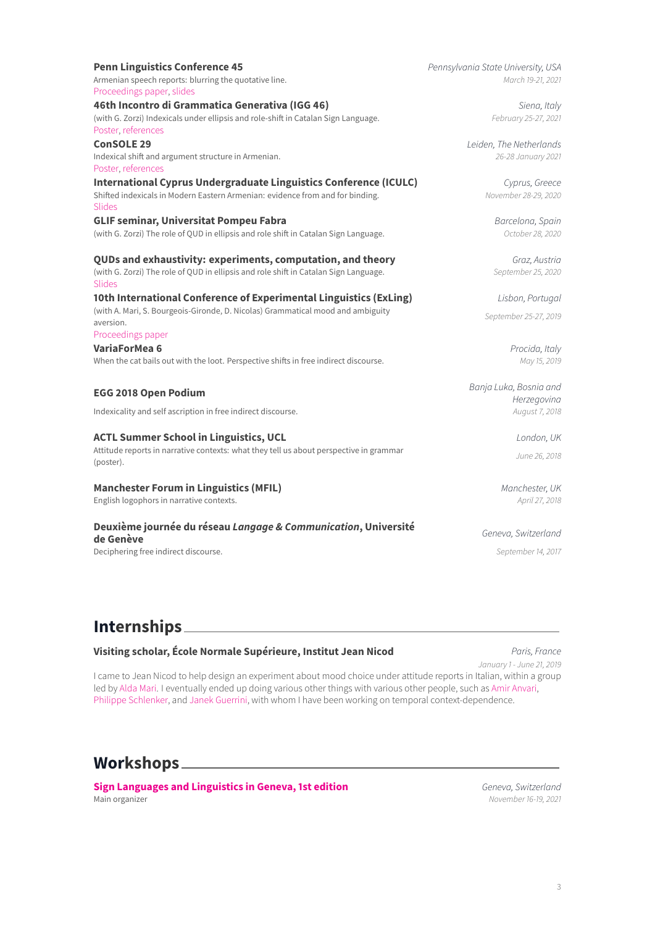| <b>Penn Linguistics Conference 45</b><br>Armenian speech reports: blurring the quotative line.           | Pennsylvania State University, USA<br>March 19-21, 2021 |
|----------------------------------------------------------------------------------------------------------|---------------------------------------------------------|
| Proceedings paper, slides                                                                                |                                                         |
| 46th Incontro di Grammatica Generativa (IGG 46)                                                          | Siena, Italy                                            |
| (with G. Zorzi) Indexicals under ellipsis and role-shift in Catalan Sign Language.<br>Poster, references | February 25-27, 2021                                    |
| <b>ConSOLE 29</b>                                                                                        | Leiden, The Netherlands                                 |
| Indexical shift and argument structure in Armenian.                                                      | 26-28 January 2021                                      |
| Poster, references                                                                                       |                                                         |
| International Cyprus Undergraduate Linguistics Conference (ICULC)                                        | Cyprus, Greece                                          |
| Shifted indexicals in Modern Eastern Armenian: evidence from and for binding.<br>Slides                  | November 28-29, 2020                                    |
| <b>GLIF seminar, Universitat Pompeu Fabra</b>                                                            | Barcelona, Spain                                        |
| (with G. Zorzi) The role of QUD in ellipsis and role shift in Catalan Sign Language.                     | October 28, 2020                                        |
| QUDs and exhaustivity: experiments, computation, and theory                                              | Graz, Austria                                           |
| (with G. Zorzi) The role of QUD in ellipsis and role shift in Catalan Sign Language.<br>Slides           | September 25, 2020                                      |
| 10th International Conference of Experimental Linguistics (ExLing)                                       | Lisbon, Portugal                                        |
| (with A. Mari, S. Bourgeois-Gironde, D. Nicolas) Grammatical mood and ambiguity<br>aversion.             | September 25-27, 2019                                   |
| Proceedings paper                                                                                        |                                                         |
| VariaForMea 6                                                                                            | Procida, Italy                                          |
| When the cat bails out with the loot. Perspective shifts in free indirect discourse.                     | May 15, 2019                                            |
| <b>EGG 2018 Open Podium</b>                                                                              | Banja Luka, Bosnia and                                  |
| Indexicality and self ascription in free indirect discourse.                                             | Herzegovina<br>August 7, 2018                           |
| <b>ACTL Summer School in Linguistics, UCL</b>                                                            | London, UK                                              |
| Attitude reports in narrative contexts: what they tell us about perspective in grammar<br>(poster).      | June 26, 2018                                           |
| <b>Manchester Forum in Linguistics (MFIL)</b>                                                            | Manchester, UK                                          |
| English logophors in narrative contexts.                                                                 | April 27, 2018                                          |
| Deuxième journée du réseau Langage & Communication, Université<br>de Genève                              | Geneva, Switzerland                                     |
| Deciphering free indirect discourse.                                                                     | September 14, 2017                                      |
|                                                                                                          |                                                         |

## **Internships**

#### **Visiting scholar, École Normale Supérieure, Institut Jean Nicod** *Paris, France*

*January 1 - June 21, 2019*

I came to Jean Nicod to help design an experiment about mood choice under attitude reports in Italian, within a group led by Alda Mari. I eventually ended up doing various other things with various other people, such as Amir Anvari, Philippe Schlenker, and Janek Guerrini, with whom I have been working on temporal context-dependence.

## **[Workshop](https://sites.google.com/site/philippeschlenkerhome/)s**

**Sign Languages and Linguistics in Geneva, 1st edition**<br>Main organizer *November 16-19, 2021* 

Main organizer *November 16-19, 2021*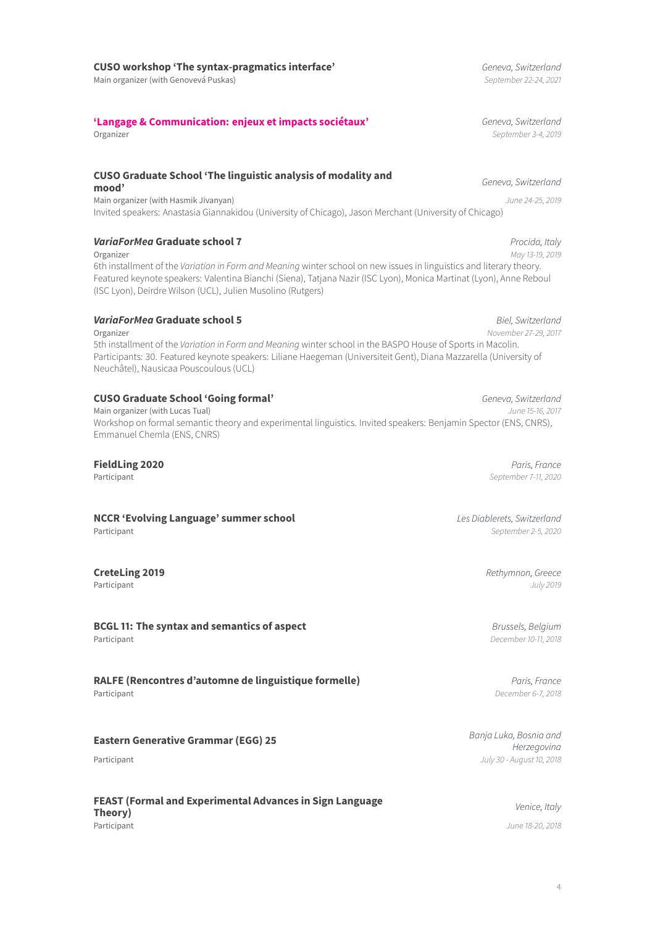### **CUSO workshop 'The syntax-pragmatics interface' Geneva, Switzerland** *Geneva, Switzerland*

Main organizer (with Genovevá Puskas) *September 22-24, 2021*

# **'Langage & Communication: enjeux et impacts sociétaux'** *Geneva, Switzerland Geneva, Switzerland Geneva, Switzerland September 3-4, 2019*

# **[CUSO Graduate School 'The linguistic analysis of modality](http://lang-com.unige.ch/actualites/2019/langage-et-communication-enjeux-et-impacts-societaux/) and mood'** *Geneva, Switzerland*

Main organizer (with Hasmik Jivanyan) *June 24-25, 2019* Invited speakers: Anastasia Giannakidou (University of Chicago), Jason Merchant (University of Chicago)

### *VariaForMea* **Graduate school 7** *Procida, Italy*

Organizer *May 13-19, 2019* 6th installment of the *Variation in Form and Meaning* winter school on new issues in linguistics and literary theory. Featured keynote speakers: Valentina Bianchi (Siena), Tatjana Nazir (ISC Lyon), Monica Martinat (Lyon), Anne Reboul (ISC Lyon), Deirdre Wilson (UCL), Julien Musolino (Rutgers)

#### *VariaForMea* **Graduate school 5** *Biel, Switzerland*

Organizer *November 27-29, 2017* 5th installment of the *Variation in Form and Meaning* winter school in the BASPO House of Sports in Macolin. Participants: 30. Featured keynote speakers: Liliane Haegeman (Universiteit Gent), Diana Mazzarella (University of Neuchâtel), Nausicaa Pouscoulous (UCL)

**CUSO Graduate School 'Going formal'** *Geneva, Switzerland* Main organizer (with Lucas Tual) Workshop on formal semantic theory and experimental linguistics. Invited speakers: Benjamin Spector (ENS, CNRS), Emmanuel Chemla (ENS, CNRS)

### **FieldLing 2020** *Paris, France*

### **NCCR 'Evolving Language' summer school** *Les Diablerets, Switzerland*

### **CreteLing 2019** *CreteLing 2019 Rethymnon, Greece*

**BCGL 11: The syntax and semantics of aspect** *Brussels, Belgium* Participant *December 10-11, 2018*

**RALFE (Rencontres d'automne de linguistique formelle)** *Paris, France* Participant *December 6-7, 2018*

## **Eastern Generative Grammar (EGG) 25 Banja Luka, Bosnia and Banja Luka, Bosnia and**

#### **FEAST (Formal and Experimental Advances in Sign Language Theory)** *Venice, Italy* Participant *June 18-20, 2018*

September 3-4, 2019

Participant *September 7-11, 2020*

Participant *September 2-5, 2020*

Participant *July 2019*

*Herzegovina* Participant *July 30 - August 10, 2018*